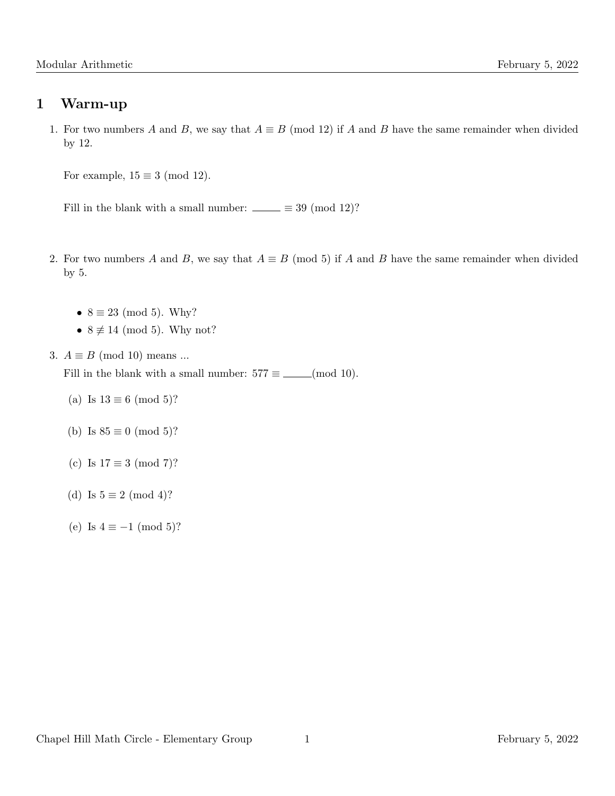### 1 Warm-up

1. For two numbers A and B, we say that  $A \equiv B \pmod{12}$  if A and B have the same remainder when divided by 12.

For example,  $15 \equiv 3 \pmod{12}$ .

Fill in the blank with a small number:  $\_\_ \equiv 39 \pmod{12}$ ?

- 2. For two numbers A and B, we say that  $A \equiv B \pmod{5}$  if A and B have the same remainder when divided by 5.
	- $8 \equiv 23 \pmod{5}$ . Why?
	- $8 \not\equiv 14 \pmod{5}$ . Why not?
- 3.  $A \equiv B \pmod{10}$  means ...

Fill in the blank with a small number:  $577 \equiv$  \_\_\_(mod 10).

- (a) Is  $13 \equiv 6 \pmod{5}$ ?
- (b) Is  $85 \equiv 0 \pmod{5}$ ?
- (c) Is  $17 \equiv 3 \pmod{7}$ ?
- (d) Is  $5 \equiv 2 \pmod{4}$ ?
- (e) Is  $4 \equiv -1 \pmod{5}$ ?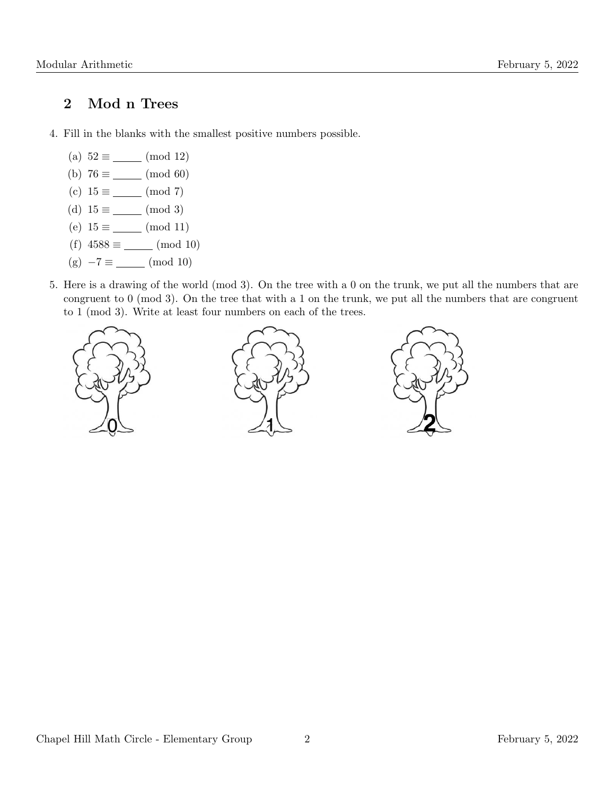### 2 Mod n Trees

- 4. Fill in the blanks with the smallest positive numbers possible.
	- (a)  $52 \equiv$  (mod 12)
	- (b)  $76 \equiv$  (mod 60)
	- (c)  $15 \equiv$  (mod 7)
	- (d)  $15 \equiv$  (mod 3)
	- (e)  $15 \equiv$  (mod 11)
	- (f)  $4588 \equiv$  (mod 10)
	- (g)  $-7 \equiv$  (mod 10)
- 5. Here is a drawing of the world (mod 3). On the tree with a 0 on the trunk, we put all the numbers that are congruent to 0 (mod 3). On the tree that with a 1 on the trunk, we put all the numbers that are congruent to 1 (mod 3). Write at least four numbers on each of the trees.

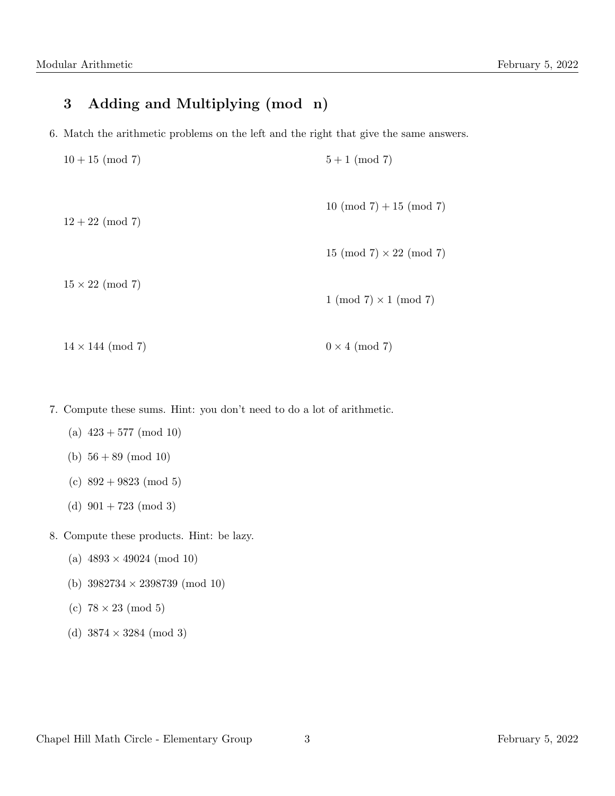# 3 Adding and Multiplying (mod n)

6. Match the arithmetic problems on the left and the right that give the same answers.

| $10 + 15 \pmod{7}$       | $5+1 \pmod{7}$                 |
|--------------------------|--------------------------------|
| $12 + 22 \pmod{7}$       | $10 \pmod{7} + 15 \pmod{7}$    |
|                          | 15 (mod 7) $\times$ 22 (mod 7) |
| $15 \times 22 \pmod{7}$  | $1 \pmod{7} \times 1 \pmod{7}$ |
| $14 \times 144 \pmod{7}$ | $0 \times 4 \pmod{7}$          |

- 7. Compute these sums. Hint: you don't need to do a lot of arithmetic.
	- (a)  $423 + 577 \pmod{10}$
	- (b)  $56 + 89 \pmod{10}$
	- (c)  $892 + 9823 \pmod{5}$
	- (d)  $901 + 723 \pmod{3}$
- 8. Compute these products. Hint: be lazy.
	- (a)  $4893 \times 49024 \pmod{10}$
	- (b) 3982734 × 2398739 (mod 10)
	- (c)  $78 \times 23 \pmod{5}$
	- (d)  $3874 \times 3284 \pmod{3}$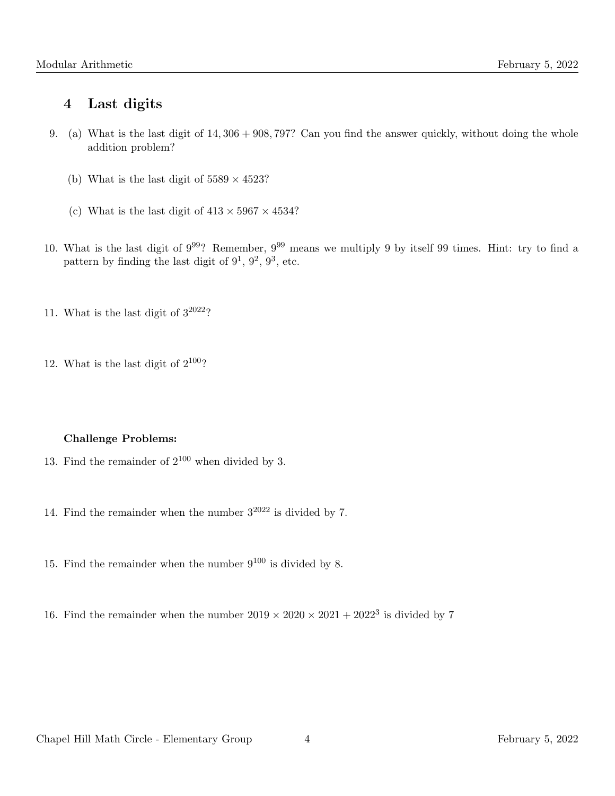### 4 Last digits

- 9. (a) What is the last digit of 14, 306 + 908, 797? Can you find the answer quickly, without doing the whole addition problem?
	- (b) What is the last digit of  $5589 \times 4523$ ?
	- (c) What is the last digit of  $413 \times 5967 \times 4534$ ?
- 10. What is the last digit of 999? Remember, 9<sup>99</sup> means we multiply 9 by itself 99 times. Hint: try to find a pattern by finding the last digit of  $9^1$ ,  $9^2$ ,  $9^3$ , etc.
- 11. What is the last digit of  $3^{2022}$ ?
- 12. What is the last digit of  $2^{100}$ ?

#### Challenge Problems:

- 13. Find the remainder of  $2^{100}$  when divided by 3.
- 14. Find the remainder when the number  $3^{2022}$  is divided by 7.
- 15. Find the remainder when the number  $9^{100}$  is divided by 8.
- 16. Find the remainder when the number  $2019 \times 2020 \times 2021 + 2022^3$  is divided by 7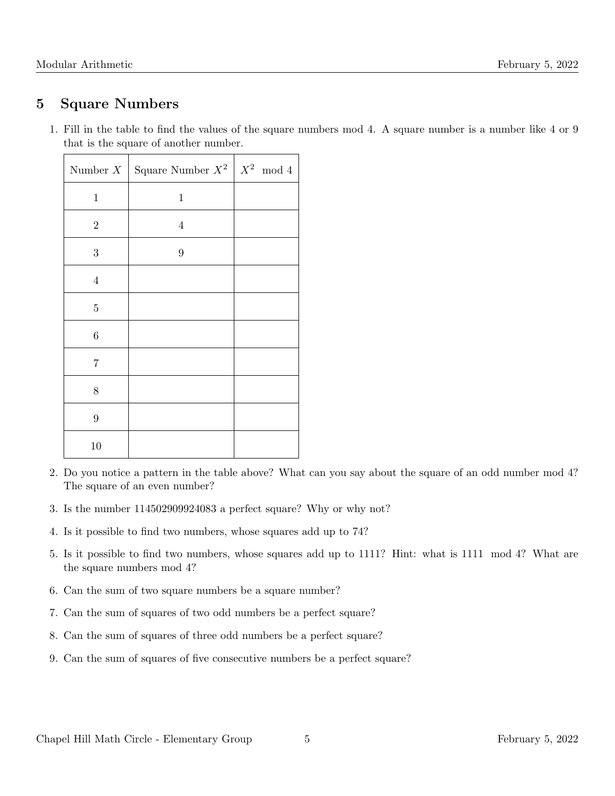## 5 Square Numbers

1. Fill in the table to find the values of the square numbers mod 4. A square number is a number like 4 or 9 that is the square of another number.

| Number $X$      | Square Number $X^2 \mid X^2 \mod 4$ |  |
|-----------------|-------------------------------------|--|
| $\mathbf{1}$    | $\,1$                               |  |
| $\sqrt{2}$      | $\overline{4}$                      |  |
| $\sqrt{3}$      | $\boldsymbol{9}$                    |  |
| $\,4\,$         |                                     |  |
| $\bf 5$         |                                     |  |
| $\!6\,$         |                                     |  |
| $\overline{7}$  |                                     |  |
| 8               |                                     |  |
| $9\phantom{.0}$ |                                     |  |
| 10              |                                     |  |

- 2. Do you notice a pattern in the table above? What can you say about the square of an odd number mod 4? The square of an even number?
- 3. Is the number 114502909924083 a perfect square? Why or why not?
- 4. Is it possible to find two numbers, whose squares add up to 74?
- 5. Is it possible to find two numbers, whose squares add up to 1111? Hint: what is 1111 mod 4? What are the square numbers mod 4?
- 6. Can the sum of two square numbers be a square number?
- 7. Can the sum of squares of two odd numbers be a perfect square?
- 8. Can the sum of squares of three odd numbers be a perfect square?
- 9. Can the sum of squares of five consecutive numbers be a perfect square?